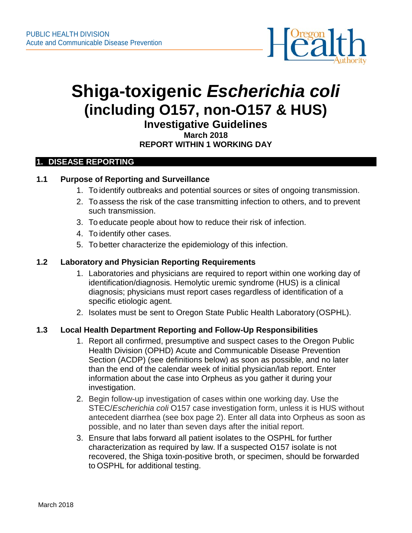

# **Shiga-toxigenic** *Escherichia coli* **(including O157, non-O157 & HUS)**

**Investigative Guidelines**

#### **March 2018 REPORT WITHIN 1 WORKING DAY**

## **1. DISEASE REPORTING**

## **1.1 Purpose of Reporting and Surveillance**

- 1. To identify outbreaks and potential sources or sites of ongoing transmission.
- 2. To assess the risk of the case transmitting infection to others, and to prevent such transmission.
- 3. To educate people about how to reduce their risk of infection.
- 4. To identify other cases.
- 5. To better characterize the epidemiology of this infection.

## **1.2 Laboratory and Physician Reporting Requirements**

- 1. Laboratories and physicians are required to report within one working day of identification/diagnosis. Hemolytic uremic syndrome (HUS) is a clinical diagnosis; physicians must report cases regardless of identification of a specific etiologic agent.
- 2. Isolates must be sent to Oregon State Public Health Laboratory (OSPHL).

## **1.3 Local Health Department Reporting and Follow-Up Responsibilities**

- 1. Report all confirmed, presumptive and suspect cases to the Oregon Public Health Division (OPHD) Acute and Communicable Disease Prevention Section (ACDP) (see definitions below) as soon as possible, and no later than the end of the calendar week of initial physician/lab report. Enter information about the case into Orpheus as you gather it during your investigation.
- 2. Begin follow-up investigation of cases within one working day. Use the STEC/*Escherichia coli* [O157 case](http://public.health.oregon.gov/DiseasesConditions/DiseasesAZ/Pages/disease.aspx?did=70%20) investig[ation form,](http://public.health.oregon.gov/DiseasesConditions/DiseasesAZ/Pages/disease.aspx?did=70%20) unless it is HUS without antecedent diarrhea (see box page 2). Enter all data into Orpheus as soon as possible, and no later than seven days after the initial report.
- 3. Ensure that labs forward all patient isolates to the OSPHL for further characterization as required by law. If a suspected O157 isolate is not recovered, the Shiga toxin-positive broth, or specimen, should be forwarded to OSPHL for additional testing.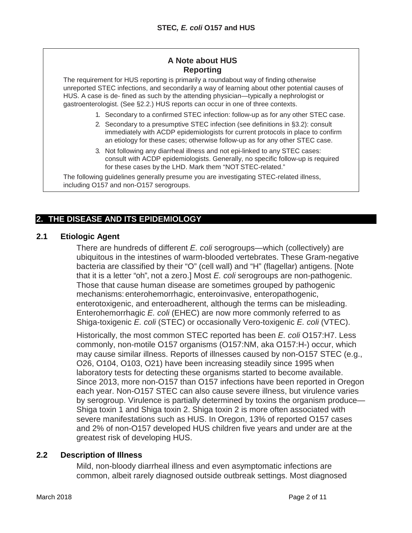## **A Note about HUS Reporting**

The requirement for HUS reporting is primarily a roundabout way of finding otherwise unreported STEC infections, and secondarily a way of learning about other potential causes of HUS. A case is de- fined as such by the attending physician—typically a nephrologist or gastroenterologist. (See §2.2.) HUS reports can occur in one of three contexts.

- 1. Secondary to a confirmed STEC infection: follow-up as for any other STEC case.
- 2. Secondary to a presumptive STEC infection (see definitions in §3.2): consult immediately with ACDP epidemiologists for current protocols in place to confirm an etiology for these cases; otherwise follow-up as for any other STEC case.
- 3. Not following any diarrheal illness and not epi-linked to any STEC cases: consult with ACDP epidemiologists. Generally, no specific follow-up is required for these cases by the LHD. Mark them "NOTSTEC-related."

The following guidelines generally presume you are investigating STEC-related illness, including O157 and non-O157 serogroups.

# **2. THE DISEASE AND ITS EPIDEMIOLOGY**

#### **2.1 Etiologic Agent**

There are hundreds of different *E. coli* serogroups—which (collectively) are ubiquitous in the intestines of warm-blooded vertebrates. These Gram-negative bacteria are classified by their "O" (cell wall) and "H" (flagellar) antigens. [Note that it is a letter "oh", not a zero.] Most *E. coli* serogroups are non-pathogenic. Those that cause human disease are sometimes grouped by pathogenic mechanisms: enterohemorrhagic, enteroinvasive, enteropathogenic, enterotoxigenic, and enteroadherent, although the terms can be misleading. Enterohemorrhagic *E. coli* (EHEC) are now more commonly referred to as Shiga-toxigenic *E. coli* (STEC) or occasionally Vero-toxigenic *E. coli* (VTEC).

Historically, the most common STEC reported has been *E. coli* O157:H7. Less commonly, non-motile O157 organisms (O157:NM, aka O157:H-) occur, which may cause similar illness. Reports of illnesses caused by non-O157 STEC (e.g., O26, O104, O103, O21) have been increasing steadily since 1995 when laboratory tests for detecting these organisms started to become available. Since 2013, more non-O157 than O157 infections have been reported in Oregon each year. Non-O157 STEC can also cause severe illness, but virulence varies by serogroup. Virulence is partially determined by toxins the organism produce— Shiga toxin 1 and Shiga toxin 2. Shiga toxin 2 is more often associated with severe manifestations such as HUS. In Oregon, 13% of reported O157 cases and 2% of non-O157 developed HUS children five years and under are at the greatest risk of developing HUS.

#### **2.2 Description of Illness**

Mild, non-bloody diarrheal illness and even asymptomatic infections are common, albeit rarely diagnosed outside outbreak settings. Most diagnosed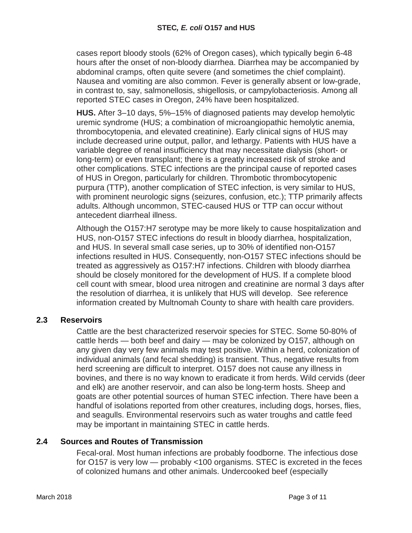cases report bloody stools (62% of Oregon cases), which typically begin 6-48 hours after the onset of non-bloody diarrhea. Diarrhea may be accompanied by abdominal cramps, often quite severe (and sometimes the chief complaint). Nausea and vomiting are also common. Fever is generally absent or low-grade, in contrast to, say, salmonellosis, shigellosis, or campylobacteriosis. Among all reported STEC cases in Oregon, 24% have been hospitalized.

**HUS.** After 3–10 days, 5%–15% of diagnosed patients may develop hemolytic uremic syndrome (HUS; a combination of microangiopathic hemolytic anemia, thrombocytopenia, and elevated creatinine). Early clinical signs of HUS may include decreased urine output, pallor, and lethargy. Patients with HUS have a variable degree of renal insufficiency that may necessitate dialysis (short- or long-term) or even transplant; there is a greatly increased risk of stroke and other complications. STEC infections are the principal cause of reported cases of HUS in Oregon, particularly for children. Thrombotic thrombocytopenic purpura (TTP), another complication of STEC infection, is very similar to HUS, with prominent neurologic signs (seizures, confusion, etc.); TTP primarily affects adults. Although uncommon, STEC-caused HUS or TTP can occur without antecedent diarrheal illness.

Although the O157:H7 serotype may be more likely to cause hospitalization and HUS, non-O157 STEC infections do result in bloody diarrhea, hospitalization, and HUS. In several small case series, up to 30% of identified non-O157 infections resulted in HUS. Consequently, non-O157 STEC infections should be treated as aggressively as O157:H7 infections. Children with bloody diarrhea should be closely monitored for the development of HUS. If a complete blood cell count with smear, blood urea nitrogen and creatinine are normal 3 days after the resolution of diarrhea, it is unlikely that HUS will develop. See reference information created by Multnomah County to share with health care providers.

## **2.3 Reservoirs**

Cattle are the best characterized reservoir species for STEC. Some 50-80% of cattle herds — both beef and dairy — may be colonized by O157, although on any given day very few animals may test positive. Within a herd, colonization of individual animals (and fecal shedding) is transient. Thus, negative results from herd screening are difficult to interpret. O157 does not cause any illness in bovines, and there is no way known to eradicate it from herds. Wild cervids (deer and elk) are another reservoir, and can also be long-term hosts. Sheep and goats are other potential sources of human STEC infection. There have been a handful of isolations reported from other creatures, including dogs, horses, flies, and seagulls. Environmental reservoirs such as water troughs and cattle feed may be important in maintaining STEC in cattle herds.

#### **2.4 Sources and Routes of Transmission**

Fecal-oral. Most human infections are probably foodborne. The infectious dose for O157 is very low — probably <100 organisms. STEC is excreted in the feces of colonized humans and other animals. Undercooked beef (especially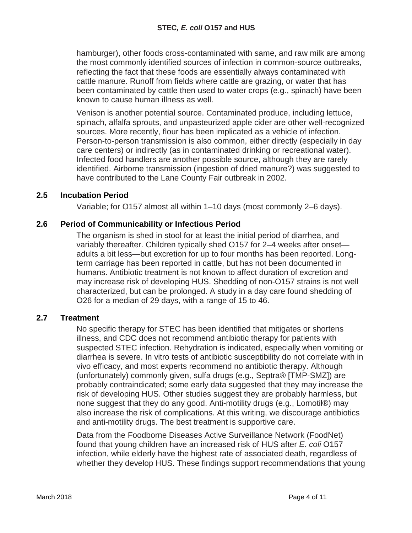hamburger), other foods cross-contaminated with same, and raw milk are among the most commonly identified sources of infection in common-source outbreaks, reflecting the fact that these foods are essentially always contaminated with cattle manure. Runoff from fields where cattle are grazing, or water that has been contaminated by cattle then used to water crops (e.g., spinach) have been known to cause human illness as well.

Venison is another potential source. Contaminated produce, including lettuce, spinach, alfalfa sprouts, and unpasteurized apple cider are other well-recognized sources. More recently, flour has been implicated as a vehicle of infection. Person-to-person transmission is also common, either directly (especially in day care centers) or indirectly (as in contaminated drinking or recreational water). Infected food handlers are another possible source, although they are rarely identified. Airborne transmission (ingestion of dried manure?) was suggested to have contributed to the Lane County Fair outbreak in 2002.

## **2.5 Incubation Period**

Variable; for O157 almost all within 1–10 days (most commonly 2–6 days).

## **2.6 Period of Communicability or Infectious Period**

The organism is shed in stool for at least the initial period of diarrhea, and variably thereafter. Children typically shed O157 for 2–4 weeks after onset adults a bit less—but excretion for up to four months has been reported. Longterm carriage has been reported in cattle, but has not been documented in humans. Antibiotic treatment is not known to affect duration of excretion and may increase risk of developing HUS. Shedding of non-O157 strains is not well characterized, but can be prolonged. A study in a day care found shedding of O26 for a median of 29 days, with a range of 15 to 46.

#### **2.7 Treatment**

No specific therapy for STEC has been identified that mitigates or shortens illness, and CDC does not recommend antibiotic therapy for patients with suspected STEC infection. Rehydration is indicated, especially when vomiting or diarrhea is severe. In vitro tests of antibiotic susceptibility do not correlate with in vivo efficacy, and most experts recommend no antibiotic therapy. Although (unfortunately) commonly given, sulfa drugs (e.g., Septra® [TMP-SMZ]) are probably contraindicated; some early data suggested that they may increase the risk of developing HUS. Other studies suggest they are probably harmless, but none suggest that they do any good. Anti-motility drugs (e.g., Lomotil®) may also increase the risk of complications. At this writing, we discourage antibiotics and anti-motility drugs. The best treatment is supportive care.

Data from the Foodborne Diseases Active Surveillance Network (FoodNet) found that young children have an increased risk of HUS after *E. coli* O157 infection, while elderly have the highest rate of associated death, regardless of whether they develop HUS. These findings support recommendations that young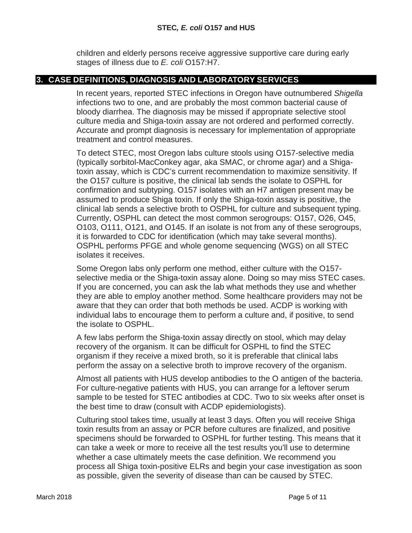children and elderly persons receive aggressive supportive care during early stages of illness due to *E. coli* O157:H7.

## **3. CASE DEFINITIONS, DIAGNOSIS AND LABORATORY SERVICES**

In recent years, reported STEC infections in Oregon have outnumbered *Shigella*  infections two to one, and are probably the most common bacterial cause of bloody diarrhea. The diagnosis may be missed if appropriate selective stool culture media and Shiga-toxin assay are not ordered and performed correctly. Accurate and prompt diagnosis is necessary for implementation of appropriate treatment and control measures.

To detect STEC, most Oregon labs culture stools using O157-selective media (typically sorbitol-MacConkey agar, aka SMAC, or chrome agar) and a Shigatoxin assay, which is CDC's current recommendation to maximize sensitivity. If the O157 culture is positive, the clinical lab sends the isolate to OSPHL for confirmation and subtyping. O157 isolates with an H7 antigen present may be assumed to produce Shiga toxin. If only the Shiga-toxin assay is positive, the clinical lab sends a selective broth to OSPHL for culture and subsequent typing. Currently, OSPHL can detect the most common serogroups: O157, O26, O45, O103, O111, O121, and O145. If an isolate is not from any of these serogroups, it is forwarded to CDC for identification (which may take several months). OSPHL performs PFGE and whole genome sequencing (WGS) on all STEC isolates it receives.

Some Oregon labs only perform one method, either culture with the O157 selective media or the Shiga-toxin assay alone. Doing so may miss STEC cases. If you are concerned, you can ask the lab what methods they use and whether they are able to employ another method. Some healthcare providers may not be aware that they can order that both methods be used. ACDP is working with individual labs to encourage them to perform a culture and, if positive, to send the isolate to OSPHL.

A few labs perform the Shiga-toxin assay directly on stool, which may delay recovery of the organism. It can be difficult for OSPHL to find the STEC organism if they receive a mixed broth, so it is preferable that clinical labs perform the assay on a selective broth to improve recovery of the organism.

Almost all patients with HUS develop antibodies to the O antigen of the bacteria. For culture-negative patients with HUS, you can arrange for a leftover serum sample to be tested for STEC antibodies at CDC. Two to six weeks after onset is the best time to draw (consult with ACDP epidemiologists).

Culturing stool takes time, usually at least 3 days. Often you will receive Shiga toxin results from an assay or PCR before cultures are finalized, and positive specimens should be forwarded to OSPHL for further testing. This means that it can take a week or more to receive all the test results you'll use to determine whether a case ultimately meets the case definition. We recommend you process all Shiga toxin-positive ELRs and begin your case investigation as soon as possible, given the severity of disease than can be caused by STEC.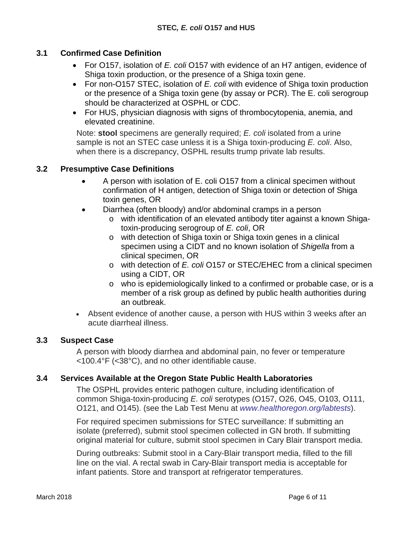## **3.1 Confirmed Case Definition**

- For O157, isolation of *E. coli* O157 with evidence of an H7 antigen, evidence of Shiga toxin production, or the presence of a Shiga toxin gene.
- For non-O157 STEC, isolation of *E. coli* with evidence of Shiga toxin production or the presence of a Shiga toxin gene (by assay or PCR). The E. coli serogroup should be characterized at OSPHL or CDC.
- For HUS, physician diagnosis with signs of thrombocytopenia, anemia, and elevated creatinine.

Note: **stool** specimens are generally required; *E. coli* isolated from a urine sample is not an STEC case unless it is a Shiga toxin-producing *E. coli*. Also, when there is a discrepancy, OSPHL results trump private lab results.

## **3.2 Presumptive Case Definitions**

- A person with isolation of E. coli O157 from a clinical specimen without confirmation of H antigen, detection of Shiga toxin or detection of Shiga toxin genes, OR
- Diarrhea (often bloody) and/or abdominal cramps in a person
	- o with identification of an elevated antibody titer against a known Shigatoxin-producing serogroup of *E. coli*, OR
	- o with detection of Shiga toxin or Shiga toxin genes in a clinical specimen using a CIDT and no known isolation of *Shigella* from a clinical specimen, OR
	- o with detection of *E. coli* O157 or STEC/EHEC from a clinical specimen using a CIDT, OR
	- o who is epidemiologically linked to a confirmed or probable case, or is a member of a risk group as defined by public health authorities during an outbreak.
- Absent evidence of another cause, a person with HUS within 3 weeks after an acute diarrheal illness.

#### **3.3 Suspect Case**

A person with bloody diarrhea and abdominal pain, no fever or temperature <100.4°F (<38°C), and no other identifiable cause.

#### **3.4 Services Available at the Oregon State Public Health Laboratories**

The OSPHL provides enteric pathogen culture, including identification of common Shiga-toxin-producing *E. coli* serotypes (O157, O26, O45, O103, O111, O121, and O145). (see the Lab Test Menu at *[www.healthoregon.org/labtests](http://www.healthoregon.org/labtests))*).

For required specimen submissions for STEC surveillance: If submitting an isolate (preferred), submit stool specimen collected in GN broth. If submitting original material for culture, submit stool specimen in Cary Blair transport media.

During outbreaks: Submit stool in a Cary-Blair transport media, filled to the fill line on the vial. A rectal swab in Cary-Blair transport media is acceptable for infant patients. Store and transport at refrigerator temperatures.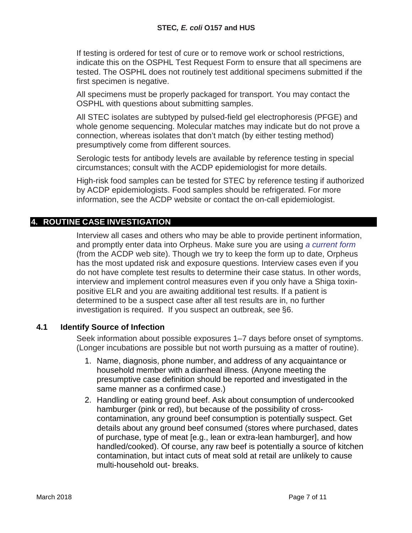If testing is ordered for test of cure or to remove work or school restrictions, indicate this on the OSPHL Test Request Form to ensure that all specimens are tested. The OSPHL does not routinely test additional specimens submitted if the first specimen is negative.

All specimens must be properly packaged for transport. You may contact the OSPHL with questions about submitting samples.

All STEC isolates are subtyped by pulsed-field gel electrophoresis (PFGE) and whole genome sequencing. Molecular matches may indicate but do not prove a connection, whereas isolates that don't match (by either testing method) presumptively come from different sources.

Serologic tests for antibody levels are available by reference testing in special circumstances; consult with the ACDP epidemiologist for more details.

High-risk food samples can be tested for STEC by reference testing if authorized by ACDP epidemiologists. Food samples should be refrigerated. For more information, see the ACDP website or contact the on-call epidemiologist.

## **4. ROUTINE CASE INVESTIGATION**

Interview all cases and others who may be able to provide pertinent information, and promptly enter data into Orpheus. Make sure you are using *[a current form](https://public.health.oregon.gov/DiseasesConditions/CommunicableDisease/ReportingCommunicableDisease/ReportingForms/Documents/ecoli_orpheus.pdf)* (from the ACDP web site). Though we try to keep the form up to date, Orpheus has the most updated risk and exposure questions. Interview cases even if you do not have complete test results to determine their case status. In other words, interview and implement control measures even if you only have a Shiga toxinpositive ELR and you are awaiting additional test results. If a patient is determined to be a suspect case after all test results are in, no further investigation is required. If you suspect an outbreak, see §6.

## **4.1 Identify Source of Infection**

Seek information about possible exposures 1–7 days before onset of symptoms. (Longer incubations are possible but not worth pursuing as a matter of routine).

- 1. Name, diagnosis, phone number, and address of any acquaintance or household member with a diarrheal illness. (Anyone meeting the presumptive case definition should be reported and investigated in the same manner as a confirmed case.)
- 2. Handling or eating ground beef. Ask about consumption of undercooked hamburger (pink or red), but because of the possibility of crosscontamination, any ground beef consumption is potentially suspect. Get details about any ground beef consumed (stores where purchased, dates of purchase, type of meat [e.g., lean or extra-lean hamburger], and how handled/cooked). Of course, any raw beef is potentially a source of kitchen contamination, but intact cuts of meat sold at retail are unlikely to cause multi-household out- breaks.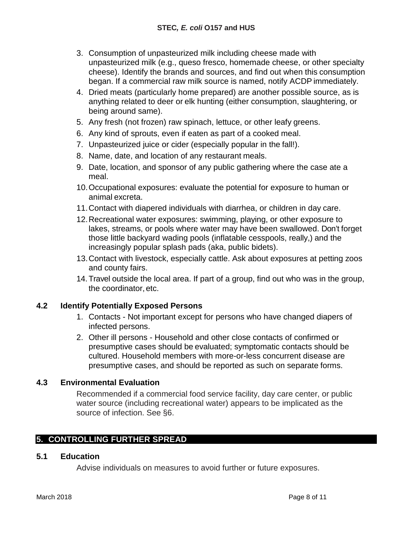- 3. Consumption of unpasteurized milk including cheese made with unpasteurized milk (e.g., queso fresco, homemade cheese, or other specialty cheese). Identify the brands and sources, and find out when this consumption began. If a commercial raw milk source is named, notify ACDP immediately.
- 4. Dried meats (particularly home prepared) are another possible source, as is anything related to deer or elk hunting (either consumption, slaughtering, or being around same).
- 5. Any fresh (not frozen) raw spinach, lettuce, or other leafy greens.
- 6. Any kind of sprouts, even if eaten as part of a cooked meal.
- 7. Unpasteurized juice or cider (especially popular in the fall!).
- 8. Name, date, and location of any restaurant meals.
- 9. Date, location, and sponsor of any public gathering where the case ate a meal.
- 10.Occupational exposures: evaluate the potential for exposure to human or animal excreta.
- 11.Contact with diapered individuals with diarrhea, or children in day care.
- 12.Recreational water exposures: swimming, playing, or other exposure to lakes, streams, or pools where water may have been swallowed. Don't forget those little backyard wading pools (inflatable cesspools, really,) and the increasingly popular splash pads (aka, public bidets).
- 13.Contact with livestock, especially cattle. Ask about exposures at petting zoos and county fairs.
- 14.Travel outside the local area. If part of a group, find out who was in the group, the coordinator, etc.

## **4.2 Identify Potentially Exposed Persons**

- 1. Contacts Not important except for persons who have changed diapers of infected persons.
- 2. Other ill persons Household and other close contacts of confirmed or presumptive cases should be evaluated; symptomatic contacts should be cultured. Household members with more-or-less concurrent disease are presumptive cases, and should be reported as such on separate forms.

## **4.3 Environmental Evaluation**

Recommended if a commercial food service facility, day care center, or public water source (including recreational water) appears to be implicated as the source of infection. See §6.

## **5. CONTROLLING FURTHER SPREAD**

#### **5.1 Education**

Advise individuals on measures to avoid further or future exposures.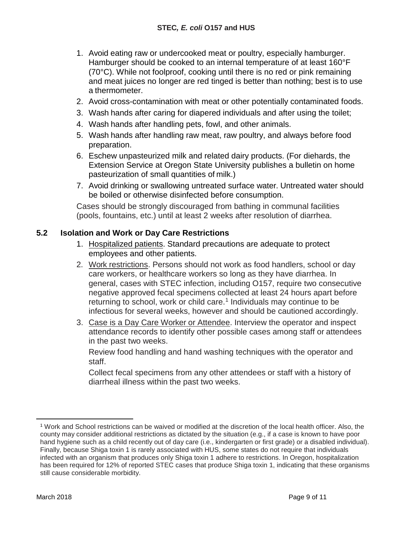- 1. Avoid eating raw or undercooked meat or poultry, especially hamburger. Hamburger should be cooked to an internal temperature of at least 160°F (70°C). While not foolproof, cooking until there is no red or pink remaining and meat juices no longer are red tinged is better than nothing; best is to use a thermometer.
- 2. Avoid cross-contamination with meat or other potentially contaminated foods.
- 3. Wash hands after caring for diapered individuals and after using the toilet;
- 4. Wash hands after handling pets, fowl, and other animals.
- 5. Wash hands after handling raw meat, raw poultry, and always before food preparation.
- 6. Eschew unpasteurized milk and related dairy products. (For diehards, the Extension Service at Oregon State University publishes a bulletin on home pasteurization of small quantities of milk.)
- 7. Avoid drinking or swallowing untreated surface water. Untreated water should be boiled or otherwise disinfected before consumption.

Cases should be strongly discouraged from bathing in communal facilities (pools, fountains, etc.) until at least 2 weeks after resolution of diarrhea.

## **5.2 Isolation and Work or Day Care Restrictions**

- 1. Hospitalized patients. Standard precautions are adequate to protect employees and other patients.
- 2. Work restrictions. Persons should not work as food handlers, school or day care workers, or healthcare workers so long as they have diarrhea. In general, cases with STEC infection, including O157, require two consecutive negative approved fecal specimens collected at least 24 hours apart before returning to school, work or child care.<sup>[1](#page-8-0)</sup> Individuals may continue to be infectious for several weeks, however and should be cautioned accordingly.
- 3. Case is a Day Care Worker or Attendee. Interview the operator and inspect attendance records to identify other possible cases among staff or attendees in the past two weeks.

Review food handling and hand washing techniques with the operator and staff.

Collect fecal specimens from any other attendees or staff with a history of diarrheal illness within the past two weeks.

<span id="page-8-0"></span><sup>1</sup> Work and School restrictions can be waived or modified at the discretion of the local health officer. Also, the county may consider additional restrictions as dictated by the situation (e.g., if a case is known to have poor hand hygiene such as a child recently out of day care (i.e., kindergarten or first grade) or a disabled individual). Finally, because Shiga toxin 1 is rarely associated with HUS, some states do not require that individuals infected with an organism that produces only Shiga toxin 1 adhere to restrictions. In Oregon, hospitalization has been required for 12% of reported STEC cases that produce Shiga toxin 1, indicating that these organisms still cause considerable morbidity.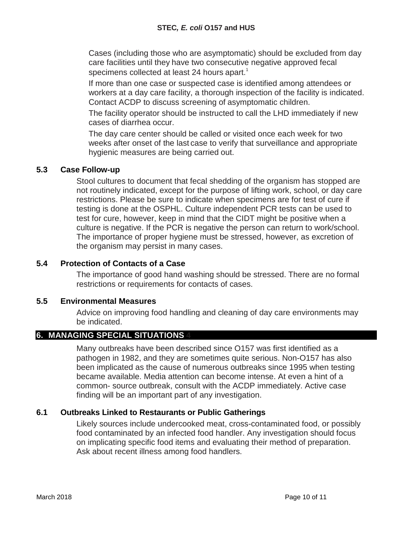Cases (including those who are asymptomatic) should be excluded from day care facilities until they have two consecutive negative approved fecal specimens collected at least 24 hours apart.<sup>1</sup>

If more than one case or suspected case is identified among attendees or workers at a day care facility, a thorough inspection of the facility is indicated. Contact ACDP to discuss screening of asymptomatic children.

The facility operator should be instructed to call the LHD immediately if new cases of diarrhea occur.

The day care center should be called or visited once each week for two weeks after onset of the last case to verify that surveillance and appropriate hygienic measures are being carried out.

## **5.3 Case Follow-up**

Stool cultures to document that fecal shedding of the organism has stopped are not routinely indicated, except for the purpose of lifting work, school, or day care restrictions. Please be sure to indicate when specimens are for test of cure if testing is done at the OSPHL. Culture independent PCR tests can be used to test for cure, however, keep in mind that the CIDT might be positive when a culture is negative. If the PCR is negative the person can return to work/school. The importance of proper hygiene must be stressed, however, as excretion of the organism may persist in many cases.

# **5.4 Protection of Contacts of a Case**

The importance of good hand washing should be stressed. There are no formal restrictions or requirements for contacts of cases.

## **5.5 Environmental Measures**

Advice on improving food handling and cleaning of day care environments may be indicated.

# **6. MANAGING SPECIAL SITUATIONS 4**

Many outbreaks have been described since O157 was first identified as a pathogen in 1982, and they are sometimes quite serious. Non-O157 has also been implicated as the cause of numerous outbreaks since 1995 when testing became available. Media attention can become intense. At even a hint of a common- source outbreak, consult with the ACDP immediately. Active case finding will be an important part of any investigation.

# **6.1 Outbreaks Linked to Restaurants or Public Gatherings**

Likely sources include undercooked meat, cross-contaminated food, or possibly food contaminated by an infected food handler. Any investigation should focus on implicating specific food items and evaluating their method of preparation. Ask about recent illness among food handlers.